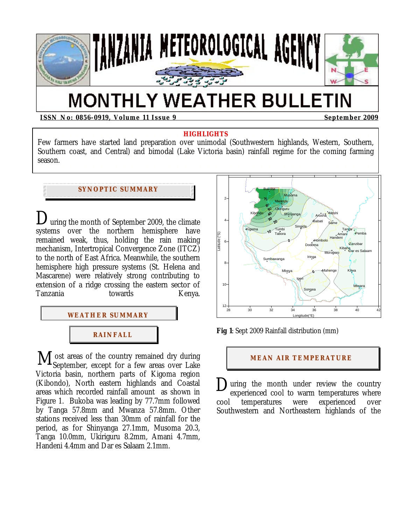

# **MONTHLY WEATHER BULLETIN**

**ISSN No: 0856-0919, Volume 11 Issue 9 September 2009** 

#### **HIGHLIGHTS**

Few farmers have started land preparation over unimodal (Southwestern highlands, Western, Southern, Southern coast, and Central) and bimodal (Lake Victoria basin) rainfall regime for the coming farming season.

## **SYNOPTIC SUMMARY**

uring the month of September 2009, the climate systems over the northern hemisphere have remained weak, thus, holding the rain making mechanism, Intertropical Convergence Zone (ITCZ) to the north of East Africa. Meanwhile, the southern hemisphere high pressure systems (St. Helena and Mascarene) were relatively strong contributing to extension of a ridge crossing the eastern sector of Tanzania towards Kenya. D





M ost areas of the country remained dry during<br>
Victoria basin, northern parts of Kigoma region<br>
Kibondo), North eastern highlands and Coastal<br>
areas which recorded rainfall amount as shown in September, except for a few areas over Lake Victoria basin, northern parts of Kigoma region (Kibondo), North eastern highlands and Coastal areas which recorded rainfall amount as shown in Figure 1. Bukoba was leading by 77.7mm followed by Tanga 57.8mm and Mwanza 57.8mm. Other stations received less than 30mm of rainfall for the period, as for Shinyanga 27.1mm, Musoma 20.3, Tanga 10.0mm, Ukiriguru 8.2mm, Amani 4.7mm, Handeni 4.4mm and Dar es Salaam 2.1mm.



**Fig 1**: Sept 2009 Rainfall distribution (mm)

#### **MEAN AIR TEMPERATURE**

uring the month under review the country experienced cool to warm temperatures where cool temperatures were experienced over Southwestern and Northeastern highlands of the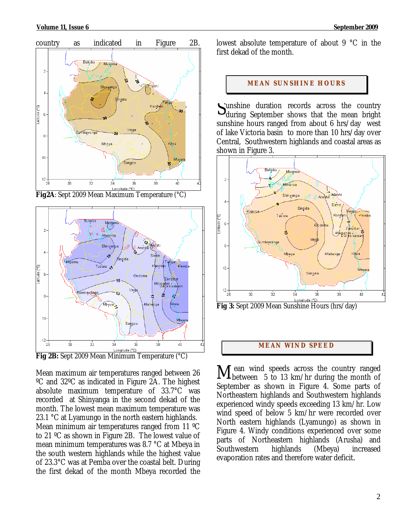





Mean maximum air temperatures ranged between 26 ºC and 32ºC as indicated in Figure 2A. The highest absolute maximum temperature of 33.7°C was recorded at Shinyanga in the second dekad of the month. The lowest mean maximum temperature was 23.1 °C at Lyamungo in the north eastern highlands. Mean minimum air temperatures ranged from 11 ºC to 21 ºC as shown in Figure 2B. The lowest value of mean minimum temperatures was 8.7 °C at Mbeya in the south western highlands while the highest value of 23.3°C was at Pemba over the coastal belt. During the first dekad of the month Mbeya recorded the lowest absolute temperature of about 9 °C in the first dekad of the month.

#### **MEAN SUNSHINE HOURS**

unshine duration records across the country Sunshine duration records across the country<br>during September shows that the mean bright sunshine hours ranged from about 6 hrs/day west of lake Victoria basin to more than 10 hrs/day over Central, Southwestern highlands and coastal areas as shown in Figure 3.



# **MEAN WI ND SPEED**

 ean wind speeds across the country ranged between 5 to 13 km/hr during the month of September as shown in Figure 4. Some parts of Northeastern highlands and Southwestern highlands experienced windy speeds exceeding 13 km/hr. Low wind speed of below 5 km/hr were recorded over North eastern highlands (Lyamungo) as shown in Figure 4. Windy conditions experienced over some parts of Northeastern highlands (Arusha) and Southwestern highlands (Mbeya) increased evaporation rates and therefore water deficit*.* M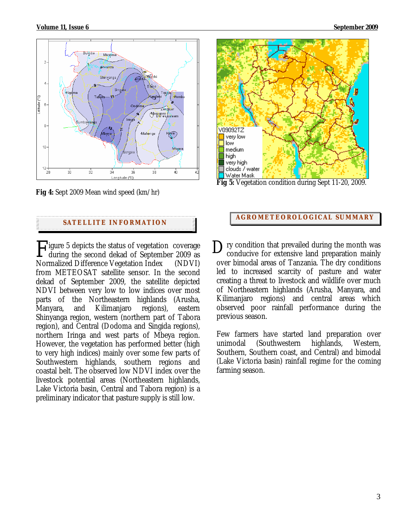

**Fig 4:** Sept 2009 Mean wind speed (km/hr)

## **SATELLITE I NFORMATION**

 $\Gamma$ igure 5 depicts the status of vegetation coverage  $\Gamma$ during the second dekad of September 2009 as Normalized Difference Vegetation Index (NDVI) from METEOSAT satellite sensor. In the second dekad of September 2009, the satellite depicted NDVI between very low to low indices over most parts of the Northeastern highlands (Arusha, Manyara, and Kilimanjaro regions), eastern Shinyanga region, western (northern part of Tabora region), and Central (Dodoma and Singida regions), northern Iringa and west parts of Mbeya region. However, the vegetation has performed better (high to very high indices) mainly over some few parts of Southwestern highlands, southern regions and coastal belt. The observed low NDVI index over the livestock potential areas (Northeastern highlands, Lake Victoria basin, Central and Tabora region) is a preliminary indicator that pasture supply is still low.



**Fig 5:** Vegetation condition during Sept 11-20, 2009.

# **AGROMETEOROLOGICAL SUMMARY**

ry condition that prevailed during the month was conducive for extensive land preparation mainly over bimodal areas of Tanzania. The dry conditions led to increased scarcity of pasture and water creating a threat to livestock and wildlife over much of Northeastern highlands (Arusha, Manyara, and Kilimanjaro regions) and central areas which observed poor rainfall performance during the previous season.

Few farmers have started land preparation over unimodal (Southwestern highlands, Western, Southern, Southern coast, and Central) and bimodal (Lake Victoria basin) rainfall regime for the coming farming season.